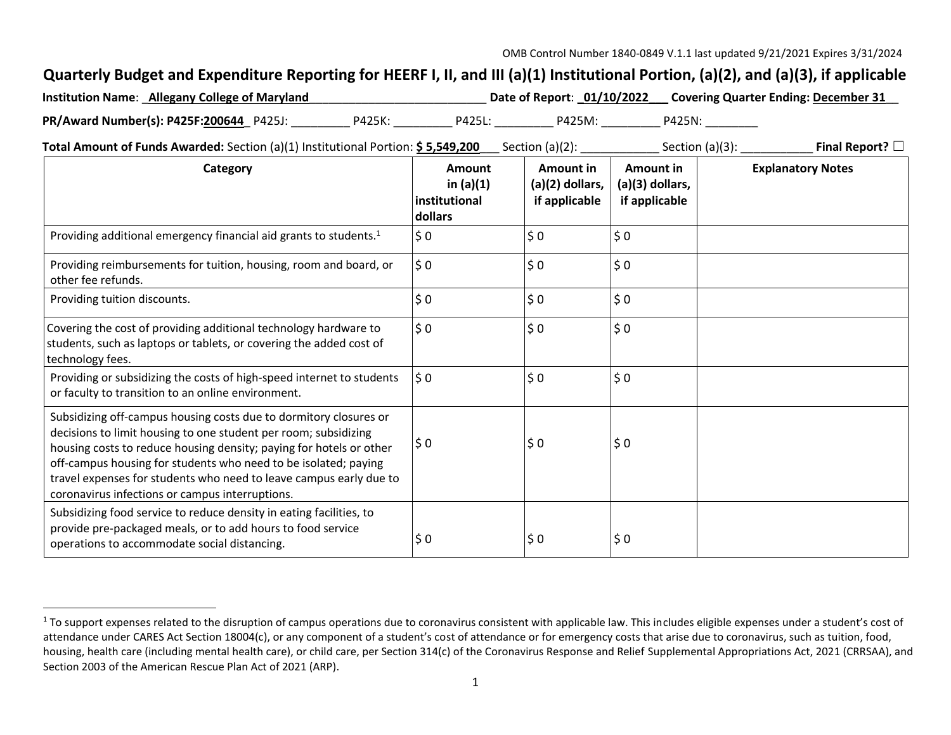## **Quarterly Budget and Expenditure Reporting for HEERF I, II, and III (a)(1) Institutional Portion, (a)(2), and (a)(3), if applicable**

| <b>Institution Name: Allegany College of Maryland</b> |        |        | Date of Report: 01/10/2022 |        | Covering Quarter Ending: December 31 |
|-------------------------------------------------------|--------|--------|----------------------------|--------|--------------------------------------|
| PR/Award Number(s): P425F:200644 P425J:               | P425K: | P425L: | P425M:                     | P425N: |                                      |

**Total Amount of Funds Awarded:** Section (a)(1) Institutional Portion: **\$ 5,549,200** Section (a)(2): \_\_\_\_\_\_\_\_\_\_\_\_ Section (a)(3): \_\_\_\_\_\_\_\_\_\_\_\_\_ **Final Report?** □

| Category                                                                                                                                                                                                                                                                                                                                                                                                | Amount<br>in $(a)(1)$<br>institutional<br>dollars | Amount in<br>$(a)(2)$ dollars,<br>if applicable | Amount in<br>$(a)(3)$ dollars,<br>if applicable | <b>Explanatory Notes</b> |
|---------------------------------------------------------------------------------------------------------------------------------------------------------------------------------------------------------------------------------------------------------------------------------------------------------------------------------------------------------------------------------------------------------|---------------------------------------------------|-------------------------------------------------|-------------------------------------------------|--------------------------|
| Providing additional emergency financial aid grants to students. <sup>1</sup>                                                                                                                                                                                                                                                                                                                           | \$0                                               | \$0                                             | \$0                                             |                          |
| Providing reimbursements for tuition, housing, room and board, or<br>other fee refunds.                                                                                                                                                                                                                                                                                                                 | \$0                                               | \$0                                             | \$0                                             |                          |
| Providing tuition discounts.                                                                                                                                                                                                                                                                                                                                                                            | \$0                                               | \$0                                             | \$0                                             |                          |
| Covering the cost of providing additional technology hardware to<br>students, such as laptops or tablets, or covering the added cost of<br>technology fees.                                                                                                                                                                                                                                             | \$0                                               | \$0                                             | \$0                                             |                          |
| Providing or subsidizing the costs of high-speed internet to students<br>or faculty to transition to an online environment.                                                                                                                                                                                                                                                                             | \$0                                               | \$0                                             | \$0                                             |                          |
| Subsidizing off-campus housing costs due to dormitory closures or<br>decisions to limit housing to one student per room; subsidizing<br>housing costs to reduce housing density; paying for hotels or other<br>off-campus housing for students who need to be isolated; paying<br>travel expenses for students who need to leave campus early due to<br>coronavirus infections or campus interruptions. | $\frac{1}{2}0$                                    | \$0                                             | \$0                                             |                          |
| Subsidizing food service to reduce density in eating facilities, to<br>provide pre-packaged meals, or to add hours to food service<br>operations to accommodate social distancing.                                                                                                                                                                                                                      | \$0                                               | \$0                                             | \$0                                             |                          |

<sup>&</sup>lt;sup>1</sup> To support expenses related to the disruption of campus operations due to coronavirus consistent with applicable law. This includes eligible expenses under a student's cost of attendance under CARES Act Section 18004(c), or any component of a student's cost of attendance or for emergency costs that arise due to coronavirus, such as tuition, food, housing, health care (including mental health care), or child care, per Section 314(c) of the Coronavirus Response and Relief Supplemental Appropriations Act, 2021 (CRRSAA), and Section 2003 of the American Rescue Plan Act of 2021 (ARP).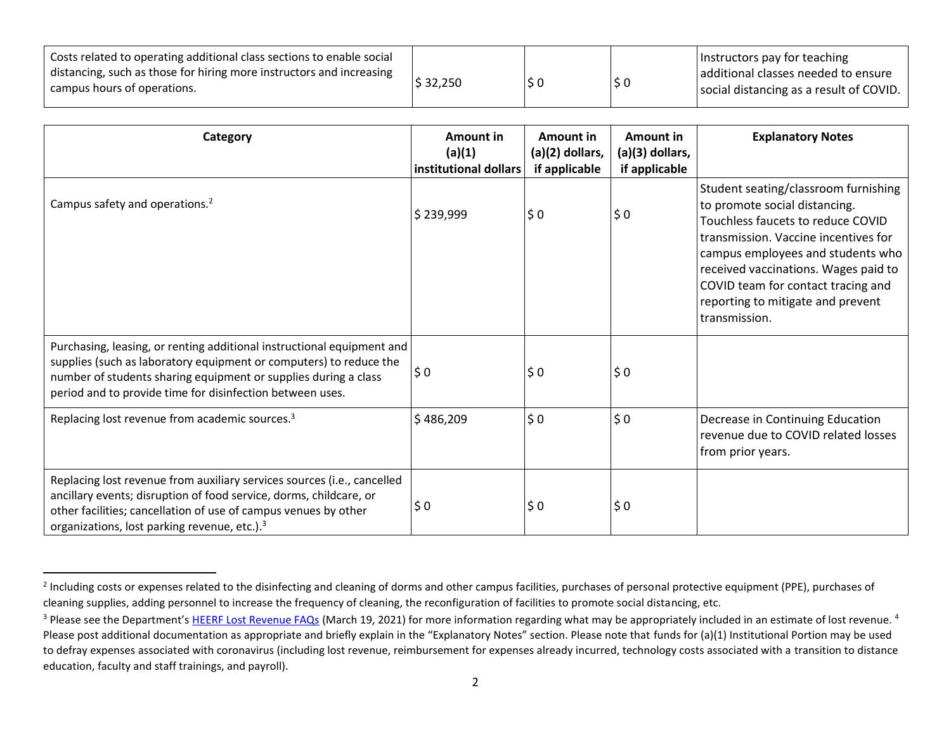| Costs related to operating additional class sections to enable social<br>distancing, such as those for hiring more instructors and increasing<br>campus hours of operations. | \$32,250 | l S C | Instructors pay for teaching<br>additional classes needed to ensure<br>social distancing as a result of COVID. |
|------------------------------------------------------------------------------------------------------------------------------------------------------------------------------|----------|-------|----------------------------------------------------------------------------------------------------------------|
|                                                                                                                                                                              |          |       |                                                                                                                |

| Category                                                                                                                                                                                                                                                                     | Amount in<br>(a)(1)<br>institutional dollars | Amount in<br>(a)(2) dollars,<br>if applicable | Amount in<br>(a)(3) dollars,<br>if applicable | <b>Explanatory Notes</b>                                                                                                                                                                                                                                                                                                    |
|------------------------------------------------------------------------------------------------------------------------------------------------------------------------------------------------------------------------------------------------------------------------------|----------------------------------------------|-----------------------------------------------|-----------------------------------------------|-----------------------------------------------------------------------------------------------------------------------------------------------------------------------------------------------------------------------------------------------------------------------------------------------------------------------------|
| Campus safety and operations. <sup>2</sup>                                                                                                                                                                                                                                   | \$239,999                                    | \$0                                           | $\ddot{\bm{\zeta}}$ 0                         | Student seating/classroom furnishing<br>to promote social distancing.<br>Touchless faucets to reduce COVID<br>transmission. Vaccine incentives for<br>campus employees and students who<br>received vaccinations. Wages paid to<br>COVID team for contact tracing and<br>reporting to mitigate and prevent<br>transmission. |
| Purchasing, leasing, or renting additional instructional equipment and<br>supplies (such as laboratory equipment or computers) to reduce the<br>number of students sharing equipment or supplies during a class<br>period and to provide time for disinfection between uses. | $\frac{1}{2}0$                               | \$0                                           | \$0                                           |                                                                                                                                                                                                                                                                                                                             |
| Replacing lost revenue from academic sources. <sup>3</sup>                                                                                                                                                                                                                   | \$486,209                                    | \$0                                           | \$0                                           | Decrease in Continuing Education<br>revenue due to COVID related losses<br>from prior years.                                                                                                                                                                                                                                |
| Replacing lost revenue from auxiliary services sources (i.e., cancelled<br>ancillary events; disruption of food service, dorms, childcare, or<br>other facilities; cancellation of use of campus venues by other<br>organizations, lost parking revenue, etc.). <sup>3</sup> | \$0                                          | \$0                                           | \$0                                           |                                                                                                                                                                                                                                                                                                                             |

<sup>&</sup>lt;sup>2</sup> Including costs or expenses related to the disinfecting and cleaning of dorms and other campus facilities, purchases of personal protective equipment (PPE), purchases of cleaning supplies, adding personnel to increase the frequency of cleaning, the reconfiguration of facilities to promote social distancing, etc.

<sup>&</sup>lt;sup>3</sup> Please see the Department's HEERF Lost Revenue FAQs (March 19, 2021) for more information regarding what may be appropriately included in an estimate of lost revenue.<sup>4</sup> Please post additional documentation as appropriate and briefly explain in the "Explanatory Notes" section. Please note that funds for (a)(1) Institutional Portion may be used to defray expenses associated with coronavirus (including lost revenue, reimbursement for expenses already incurred, technology costs associated with a transition to distance education, faculty and staff trainings, and payroll).